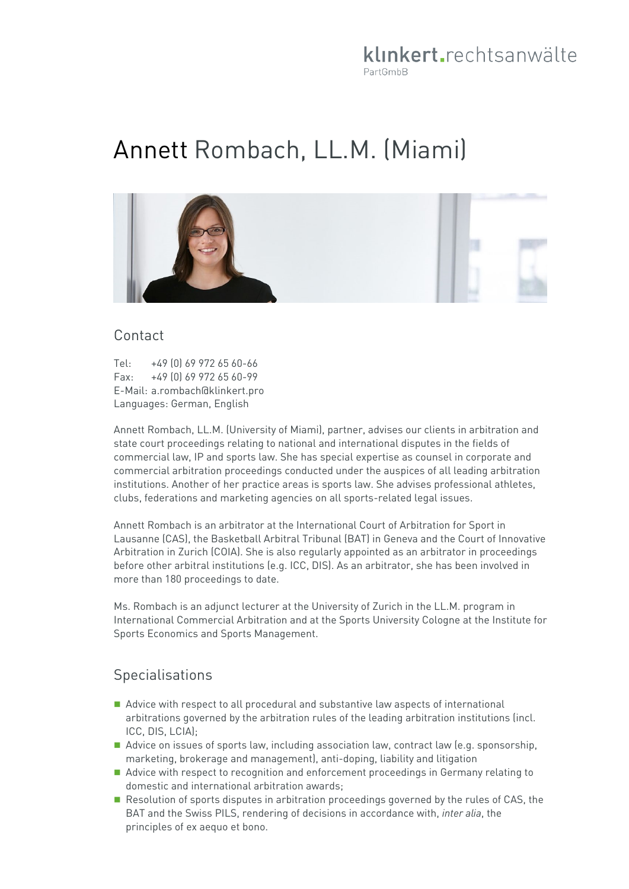# klinkert rechtsanwälte PartGmbB

# Annett Rombach, LL.M. (Miami)



#### Contact

Tel: +49 (0) 69 972 65 60-66 Fax: +49 (0) 69 972 65 60-99 E-Mail: a.rombach@klinkert.pro Languages: German, English

Annett Rombach, LL.M. (University of Miami), partner, advises our clients in arbitration and state court proceedings relating to national and international disputes in the fields of commercial law, IP and sports law. She has special expertise as counsel in corporate and commercial arbitration proceedings conducted under the auspices of all leading arbitration institutions. Another of her practice areas is sports law. She advises professional athletes, clubs, federations and marketing agencies on all sports-related legal issues.

Annett Rombach is an arbitrator at the International Court of Arbitration for Sport in Lausanne (CAS), the Basketball Arbitral Tribunal (BAT) in Geneva and the Court of Innovative Arbitration in Zurich (COIA). She is also regularly appointed as an arbitrator in proceedings before other arbitral institutions (e.g. ICC, DIS). As an arbitrator, she has been involved in more than 180 proceedings to date.

Ms. Rombach is an adjunct lecturer at the University of Zurich in the LL.M. program in International Commercial Arbitration and at the Sports University Cologne at the Institute for Sports Economics and Sports Management.

#### **Specialisations**

- Advice with respect to all procedural and substantive law aspects of international arbitrations governed by the arbitration rules of the leading arbitration institutions (incl. ICC, DIS, LCIA);
- Advice on issues of sports law, including association law, contract law (e.g. sponsorship, marketing, brokerage and management), anti-doping, liability and litigation
- Advice with respect to recognition and enforcement proceedings in Germany relating to domestic and international arbitration awards;
- Resolution of sports disputes in arbitration proceedings governed by the rules of CAS, the BAT and the Swiss PILS, rendering of decisions in accordance with, *inter alia*, the principles of ex aequo et bono.